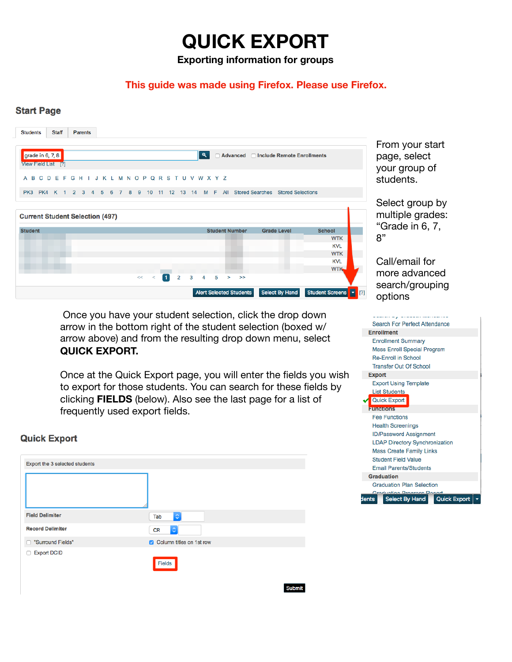**Exporting information for groups** 

#### **This guide was made using Firefox. Please use Firefox.**

#### **Start Page**



From your start page, select your group of students.

Select group by multiple grades: "Grade in 6, 7, 8"

Call/email for more advanced search/grouping options

 Once you have your student selection, click the drop down arrow in the bottom right of the student selection (boxed w/ arrow above) and from the resulting drop down menu, select **QUICK EXPORT.** 

Once at the Quick Export page, you will enter the fields you wish to export for those students. You can search for these fields by clicking **FIELDS** (below). Also see the last page for a list of frequently used export fields.

Submit

#### **Quick Export**

| Export the 3 selected students |                           |
|--------------------------------|---------------------------|
|                                |                           |
| <b>Field Delimiter</b>         | $\hat{\mathbf{v}}$<br>Tab |
| <b>Record Delimiter</b>        | $\Diamond$<br>CR          |
| "Surround Fields"<br>п         | Column titles on 1st row  |
| <b>Export DCID</b><br>□        | Fields                    |

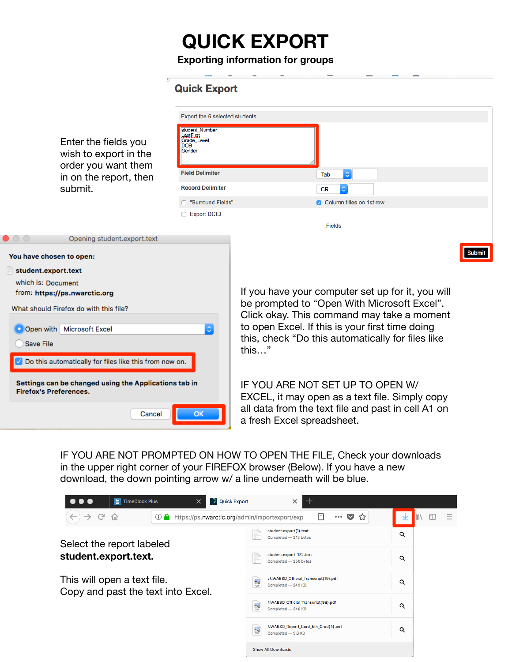**Exporting information for groups** 

|                                                                                        | <b>Quick Export</b>                                                |                                                                                                      |  |  |
|----------------------------------------------------------------------------------------|--------------------------------------------------------------------|------------------------------------------------------------------------------------------------------|--|--|
|                                                                                        | Export the 6 selected students                                     |                                                                                                      |  |  |
| Enter the fields you<br>wish to export in the                                          | student Number<br>LastFirst<br>Grade_Level<br><b>DOB</b><br>Gender |                                                                                                      |  |  |
| order you want them<br>in on the report, then                                          | <b>Field Delimiter</b>                                             | $\Diamond$<br>Tab                                                                                    |  |  |
| submit.                                                                                | <b>Record Delimiter</b>                                            | <b>CR</b>                                                                                            |  |  |
|                                                                                        | □ "Surround Fields"                                                | Column titles on 1st row                                                                             |  |  |
|                                                                                        | Export DCID                                                        | <b>Fields</b>                                                                                        |  |  |
| Opening student.export.text<br>$\bullet$ $\circ$ $\circ$                               |                                                                    |                                                                                                      |  |  |
| You have chosen to open:                                                               |                                                                    | Submit                                                                                               |  |  |
| student.export.text                                                                    |                                                                    |                                                                                                      |  |  |
| which is: Document                                                                     |                                                                    | If you have your computer set up for it, you will<br>be prompted to "Open With Microsoft Excel".     |  |  |
| from: https://ps.nwarctic.org                                                          |                                                                    |                                                                                                      |  |  |
| What should Firefox do with this file?                                                 |                                                                    | Click okay. This command may take a moment                                                           |  |  |
| $\Diamond$<br>Open with Microsoft Excel<br><b>Save File</b>                            |                                                                    | to open Excel. If this is your first time doing<br>this, check "Do this automatically for files like |  |  |
|                                                                                        |                                                                    |                                                                                                      |  |  |
| Settings can be changed using the Applications tab in<br><b>Firefox's Preferences.</b> |                                                                    | IF YOU ARE NOT SET UP TO OPEN W/<br>EXCEL, it may open as a text file. Simply copy                   |  |  |
| Cancel                                                                                 | ок                                                                 | all data from the text file and past in cell A1 on<br>a fresh Excel spreadsheet.                     |  |  |

IF YOU ARE NOT PROMPTED ON HOW TO OPEN THE FILE, Check your downloads in the upper right corner of your FIREFOX browser (Below). If you have a new download, the down pointing arrow w/ a line underneath will be blue.

| $\mathbf{R}$<br><b>P</b> Quick Export<br>. .<br><b>TimeClock Plus</b><br>$\times$ | $\times$                                                                         |                        |
|-----------------------------------------------------------------------------------|----------------------------------------------------------------------------------|------------------------|
| G<br>$\rightarrow$<br>奋<br>⊙<br>https://ps.nwarctic.org/admin/importexport/exp    | ☆<br>▽<br>E<br>0.0.0                                                             | 田<br><b>III</b><br>$=$ |
| Select the report labeled                                                         | student.export(1).text<br>Completed - 313 bytes                                  | Q                      |
| student.export.text.                                                              | student.export-172.text<br>Completed - 256 bytes                                 | Q                      |
| This will open a text file.<br>Copy and past the text into Excel.                 | zNWABSD_Official_Transcript(19).pdf<br>副<br>Completed - 249 KB                   | Q                      |
|                                                                                   | NWABSD_Official_Transcript(98).pdf<br>副<br>Completed - 246 KB                    | Q                      |
|                                                                                   | NWABSD_Report_Card_5th_Grad(4).pdf<br>$\frac{1}{\sqrt{2}}$<br>Completed - 9.6 KB | Q                      |
|                                                                                   | Show All Downloads                                                               |                        |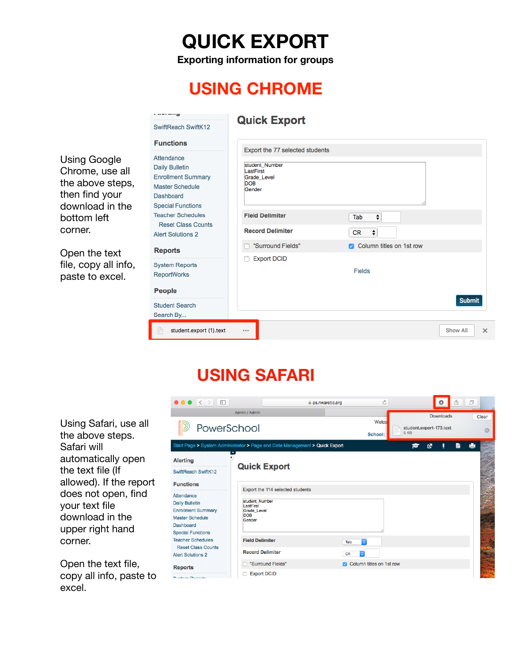**Exporting information for groups** 

### **USING CHROME**

a sera seran

|                                                                                                                           | SwiftReach SwiftK12                                                                                                                                                                                                      | <b>Quick Export</b>                                               |                          |                      |
|---------------------------------------------------------------------------------------------------------------------------|--------------------------------------------------------------------------------------------------------------------------------------------------------------------------------------------------------------------------|-------------------------------------------------------------------|--------------------------|----------------------|
|                                                                                                                           | <b>Functions</b>                                                                                                                                                                                                         | Export the 77 selected students                                   |                          |                      |
| <b>Using Google</b><br>Chrome, use all<br>the above steps,<br>then find your<br>download in the<br>bottom left<br>corner. | Attendance<br><b>Daily Bulletin</b><br><b>Enrollment Summary</b><br><b>Master Schedule</b><br>Dashboard<br><b>Special Functions</b><br><b>Teacher Schedules</b><br><b>Reset Class Counts</b><br><b>Alert Solutions 2</b> | student Number<br>astFirst<br>Grade Level<br><b>DOB</b><br>Gender |                          |                      |
|                                                                                                                           |                                                                                                                                                                                                                          | <b>Field Delimiter</b>                                            | ÷<br>Tab                 |                      |
|                                                                                                                           |                                                                                                                                                                                                                          | <b>Record Delimiter</b>                                           | ÷<br><b>CR</b>           |                      |
| Open the text<br>file, copy all info,<br>paste to excel.                                                                  | <b>Reports</b>                                                                                                                                                                                                           | "Surround Fields"                                                 | Column titles on 1st row |                      |
|                                                                                                                           | <b>System Reports</b><br><b>ReportWorks</b><br><b>People</b>                                                                                                                                                             | <b>Export DCID</b>                                                | <b>Fields</b>            |                      |
|                                                                                                                           | <b>Student Search</b><br>Search By                                                                                                                                                                                       |                                                                   |                          | <b>Submit</b>        |
|                                                                                                                           | student.export (1).text                                                                                                                                                                                                  |                                                                   |                          | <b>Show All</b><br>× |

#### **USING SAFARI**

Using Safari, use all the above steps. Safari will automatically open the text file (If allowed). If the report does not open, find your text file download in the upper right hand corner.

Open the text file, copy all info, paste to excel.

| $\bullet \bullet \bullet \langle\ \rangle$ $\Box$                                                                                          |                                                                             | Ò,<br>ps.nwarctic.org           |                                 | â<br>O    | ð     |
|--------------------------------------------------------------------------------------------------------------------------------------------|-----------------------------------------------------------------------------|---------------------------------|---------------------------------|-----------|-------|
|                                                                                                                                            | Admin / Admin                                                               |                                 |                                 | Downloads | Clear |
| PowerSchool                                                                                                                                |                                                                             | Welco<br>School:                | student.export-173.text<br>5 KB |           |       |
|                                                                                                                                            | Start Page > System Administrator > Page and Data Management > Quick Export |                                 | 囨<br>М                          | B         |       |
| <b>Alerting</b><br>SwiftReach SwiftK12<br><b>Functions</b>                                                                                 | <b>Quick Export</b>                                                         |                                 |                                 |           |       |
|                                                                                                                                            | Export the 114 selected students                                            |                                 |                                 |           |       |
| Attendance<br><b>Daily Bulletin</b><br><b>Enrollment Summary</b><br><b>Master Schedule</b><br><b>Dashboard</b><br><b>Special Functions</b> | student Number<br>LastFirst<br><b>Grade Level</b><br><b>DOB</b><br>Gender   |                                 |                                 |           |       |
| <b>Teacher Schedules</b>                                                                                                                   | <b>Field Delimiter</b>                                                      | $\overline{\bullet}$<br>Tab     |                                 |           |       |
| <b>Reset Class Counts</b><br><b>Alert Solutions 2</b>                                                                                      | <b>Record Delimiter</b>                                                     | <b>CR</b><br>ö.                 |                                 |           |       |
| <b>Reports</b>                                                                                                                             | "Surround Fields"                                                           | <b>Column titles on 1st row</b> |                                 |           |       |
| <b>Custom Departs</b>                                                                                                                      | <b>Export DCID</b>                                                          |                                 |                                 |           |       |